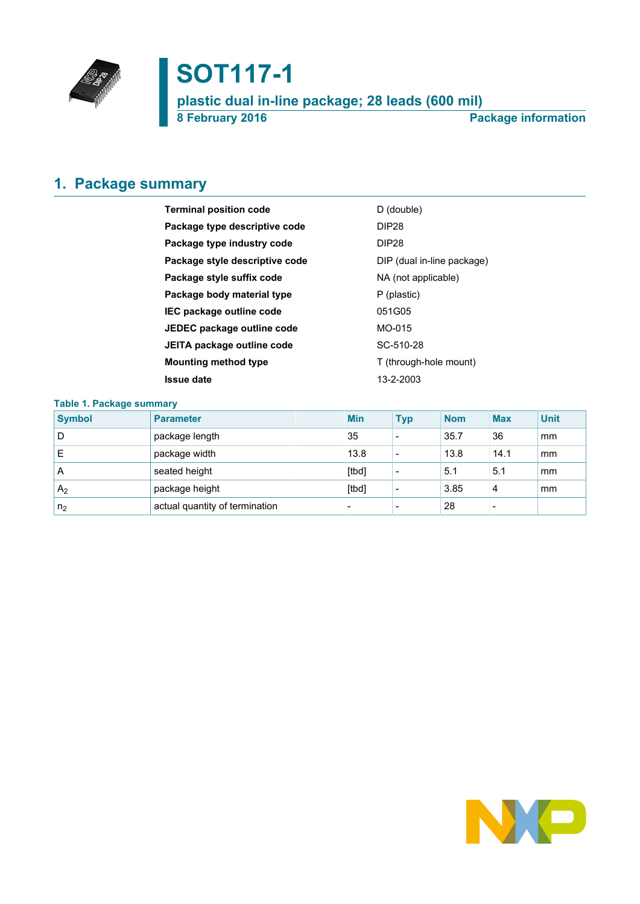

# **SOT117-1**

**plastic dual in-line package; 28 leads (600 mil) 8 February 2016 Package information**

# <span id="page-0-0"></span>**1. Package summary**

| <b>Terminal position code</b>  | D (double)                 |
|--------------------------------|----------------------------|
| Package type descriptive code  | <b>DIP28</b>               |
| Package type industry code     | <b>DIP28</b>               |
| Package style descriptive code | DIP (dual in-line package) |
| Package style suffix code      | NA (not applicable)        |
| Package body material type     | P (plastic)                |
| IEC package outline code       | 051G05                     |
| JEDEC package outline code     | MO-015                     |
| JEITA package outline code     | SC-510-28                  |
| <b>Mounting method type</b>    | T (through-hole mount)     |
| <b>Issue date</b>              | 13-2-2003                  |
|                                |                            |

### **Table 1. Package summary**

| <b>Symbol</b>  | <b>Parameter</b>               | <b>Min</b>               | <b>Typ</b>               | <b>Nom</b> | <b>Max</b>               | <b>Unit</b> |
|----------------|--------------------------------|--------------------------|--------------------------|------------|--------------------------|-------------|
| D              | package length                 | 35                       | $\overline{\phantom{a}}$ | 35.7       | 36                       | mm          |
| Е              | package width                  | 13.8                     | $\overline{\phantom{a}}$ | 13.8       | 14.1                     | mm          |
| A              | seated height                  | [tbd]                    | $\overline{\phantom{a}}$ | 5.1        | 5.1                      | mm          |
| A <sub>2</sub> | package height                 | [tbd]                    |                          | 3.85       | 4                        | mm          |
| n <sub>2</sub> | actual quantity of termination | $\overline{\phantom{0}}$ | $\overline{\phantom{0}}$ | 28         | $\overline{\phantom{0}}$ |             |

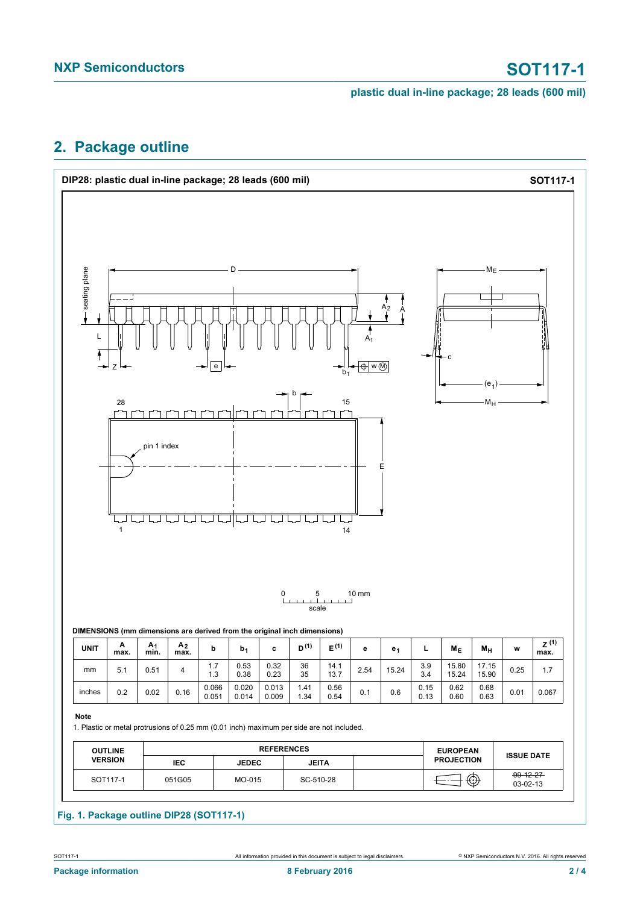**plastic dual in-line package; 28 leads (600 mil)**

# <span id="page-1-0"></span>**2. Package outline**

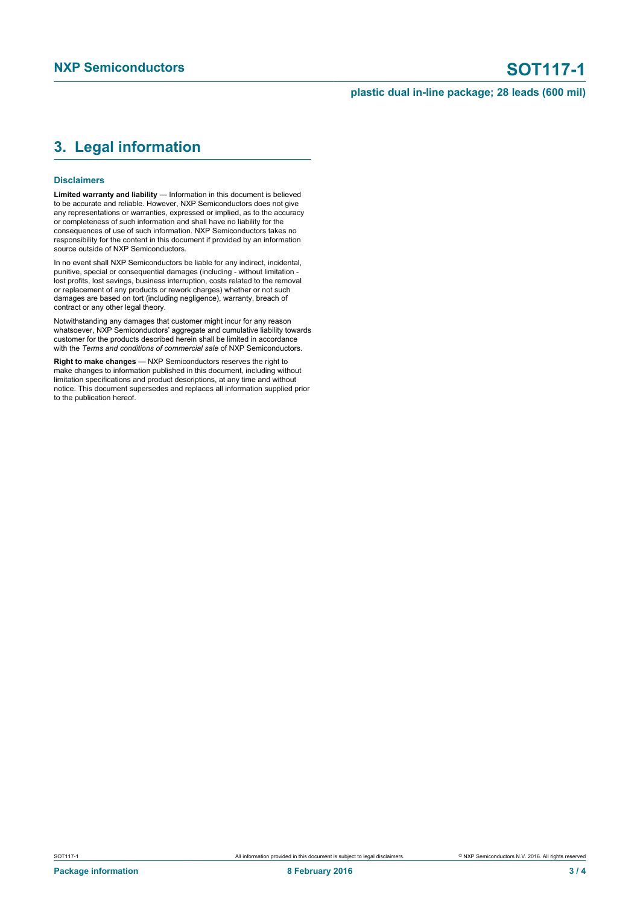### **plastic dual in-line package; 28 leads (600 mil)**

## <span id="page-2-0"></span>**3. Legal information**

#### **Disclaimers**

**Limited warranty and liability** — Information in this document is believed to be accurate and reliable. However, NXP Semiconductors does not give any representations or warranties, expressed or implied, as to the accuracy or completeness of such information and shall have no liability for the consequences of use of such information. NXP Semiconductors takes no responsibility for the content in this document if provided by an information source outside of NXP Semiconductors.

In no event shall NXP Semiconductors be liable for any indirect, incidental, punitive, special or consequential damages (including - without limitation lost profits, lost savings, business interruption, costs related to the removal or replacement of any products or rework charges) whether or not such damages are based on tort (including negligence), warranty, breach of contract or any other legal theory.

Notwithstanding any damages that customer might incur for any reason whatsoever, NXP Semiconductors' aggregate and cumulative liability towards customer for the products described herein shall be limited in accordance with the *Terms and conditions of commercial sale* of NXP Semiconductors.

**Right to make changes** — NXP Semiconductors reserves the right to make changes to information published in this document, including without limitation specifications and product descriptions, at any time and without notice. This document supersedes and replaces all information supplied prior to the publication hereof.